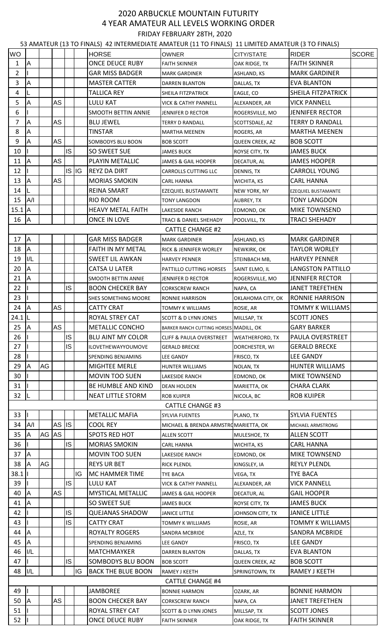## 2020 ARBUCKLE MOUNTAIN FUTURITY 4 YEAR AMATEUR ALL LEVELS WORKING ORDER FRIDAY FEBRUARY 28TH, 2020

53 AMATEUR (13 TO FINALS) 42 INTERMEDIATE AMATEUR (11 TO FINALS) 11 LIMITED AMATEUR (3 TO FINALS)

| <b>WO</b>      |                         |       | $\cdots$  | --        |           | <b>HORSE</b>               | <b>OWNER</b>                           | CITY/STATE             | <b>RIDER</b>               | <b>SCORE</b> |
|----------------|-------------------------|-------|-----------|-----------|-----------|----------------------------|----------------------------------------|------------------------|----------------------------|--------------|
|                | A                       |       |           |           |           | <b>ONCE DEUCE RUBY</b>     | <b>FAITH SKINNER</b>                   |                        | <b>FAITH SKINNER</b>       |              |
| 1              |                         |       |           |           |           |                            |                                        | OAK RIDGE, TX          |                            |              |
| $\overline{2}$ |                         |       |           |           |           | <b>GAR MISS BADGER</b>     | <b>MARK GARDINER</b>                   | ASHLAND, KS            | <b>MARK GARDINER</b>       |              |
| 3              | A                       |       |           |           |           | <b>MASTER CATTER</b>       | <b>DARREN BLANTON</b>                  | DALLAS, TX             | <b>EVA BLANTON</b>         |              |
| 4              |                         |       |           |           |           | <b>TALLICA REY</b>         | SHEILA FITZPATRICK                     | EAGLE, CO              | SHEILA FITZPATRICK         |              |
| 5              | A                       |       | <b>AS</b> |           |           | LULU KAT                   | VICK & CATHY PANNELL                   | ALEXANDER, AR          | <b>VICK PANNELL</b>        |              |
| 6              |                         |       |           |           |           | <b>SMOOTH BETTIN ANNIE</b> | JENNIFER D RECTOR                      | ROGERSVILLE, MO        | <b>JENNIFER RECTOR</b>     |              |
| $\overline{7}$ | A                       |       | <b>AS</b> |           |           | <b>BLU JEWEL</b>           | TERRY D RANDALL                        | SCOTTSDALE, AZ         | <b>TERRY D RANDALL</b>     |              |
| 8              | A                       |       |           |           |           | <b>TINSTAR</b>             | <b>MARTHA MEENEN</b>                   | ROGERS, AR             | <b>MARTHA MEENEN</b>       |              |
| 9              | A                       |       | AS        |           |           | SOMBODYS BLU BOON          | <b>BOB SCOTT</b>                       | QUEEN CREEK, AZ        | <b>BOB SCOTT</b>           |              |
| 10             |                         |       |           | IS.       |           | SO SWEET SUE               | <b>JAMES BUCK</b>                      | ROYSE CITY, TX         | <b>JAMES BUCK</b>          |              |
| 11             | A                       |       | AS        |           |           | PLAYIN METALLIC            | JAMES & GAIL HOOPER                    | DECATUR, AL            | <b>JAMES HOOPER</b>        |              |
| 12             |                         |       |           |           | $IS$ $IG$ | <b>REYZ DA DIRT</b>        | <b>CARROLLS CUTTING LLC</b>            | DENNIS, TX             | <b>CARROLL YOUNG</b>       |              |
| 13             | A                       |       | AS        |           |           | <b>MORIAS SMOKIN</b>       | CARL HANNA                             | WICHITA, KS            | <b>CARL HANNA</b>          |              |
| 14             | L                       |       |           |           |           | REINA SMART                | EZEQUIEL BUSTAMANTE                    | NEW YORK, NY           | <b>EZEQUIEL BUSTAMANTE</b> |              |
| 15             | A/I                     |       |           |           |           | RIO ROOM                   | TONY LANGDON                           | AUBREY, TX             | <b>TONY LANGDON</b>        |              |
| $15.1$ A       |                         |       |           |           |           | <b>HEAVY METAL FAITH</b>   | LAKESIDE RANCH                         | EDMOND, OK             | MIKE TOWNSEND              |              |
| 16             | <b>J</b> A              |       |           |           |           | ONCE IN LOVE               | TRACI & DANIEL SHEHADY                 | POOLVILL, TX           | <b>TRACI SHEHADY</b>       |              |
|                |                         |       |           |           |           |                            | <b>CATTLE CHANGE #2</b>                |                        |                            |              |
| 17             | <b>J</b> A              |       |           |           |           | <b>GAR MISS BADGER</b>     | <b>MARK GARDINER</b>                   | ASHLAND, KS            | <b>MARK GARDINER</b>       |              |
| 18             | IА                      |       |           |           |           | FAITH IN MY METAL          | RICK & JENNIFER WORLEY                 | NEWKIRK, OK            | <b>TAYLOR WORLEY</b>       |              |
| 19             | I/L                     |       |           |           |           | <b>SWEET LIL AWKAN</b>     | <b>HARVEY PENNER</b>                   | STEINBACH MB,          | <b>HARVEY PENNER</b>       |              |
| 20             | A                       |       |           |           |           | CATSA U LATER              | PATTILLO CUTTING HORSES                | SAINT ELMO, IL         | <b>LANGSTON PATTILLO</b>   |              |
| 21             | A                       |       |           |           |           | SMOOTH BETTIN ANNIE        | JENNIFER D RECTOR                      | ROGERSVILLE, MO        | <b>JENNIFER RECTOR</b>     |              |
| 22             |                         |       |           | IS        |           | <b>BOON CHECKER BAY</b>    | <b>CORKSCREW RANCH</b>                 | NAPA, CA               | <b>JANET TREFETHEN</b>     |              |
| 23             |                         |       |           |           |           | SHES SOMETHING MOORE       | RONNIE HARRISON                        | OKLAHOMA CITY, OK      | <b>RONNIE HARRISON</b>     |              |
| 24             | <b>JA</b>               |       | <b>AS</b> |           |           | <b>CATTY CRAT</b>          | <b>TOMMY K WILLIAMS</b>                | ROSIE, AR              | <b>TOMMY K WILLIAMS</b>    |              |
| $24.1$ L       |                         |       |           |           |           | ROYAL STREY CAT            | <b>SCOTT &amp; D LYNN JONES</b>        | MILLSAP, TX            | <b>SCOTT JONES</b>         |              |
| 25             | <b>J</b> A              |       | <b>AS</b> |           |           | <b>METALLIC CONCHO</b>     | BARKER RANCH CUTTING HORSES MADILL, OK |                        | <b>GARY BARKER</b>         |              |
| 26             |                         |       |           | IS.       |           | <b>BLU AINT MY COLOR</b>   |                                        |                        | PAULA OVERSTREET           |              |
| 27             |                         |       |           | <b>IS</b> |           |                            | <b>CLIFF &amp; PAULA OVERSTREET</b>    | <b>WEATHERFORD, TX</b> |                            |              |
|                |                         |       |           |           |           | ILOVETHEWAYYOUMOVE         | <b>GERALD BRECKE</b>                   | DORCHESTER, WI         | <b>GERALD BRECKE</b>       |              |
| 28             |                         |       |           |           |           | SPENDING BENJAMINS         | <b>LEE GANDY</b>                       | FRISCO, TX             | <b>LEE GANDY</b>           |              |
| 29             | IA                      | AG    |           |           |           | MIGHTEE MERLE              | HUNTER WILLIAMS                        | NOLAN, TX              | HUNTER WILLIAMS            |              |
| 30             |                         |       |           |           |           | <b>MOVIN TOO SUEN</b>      | <b>LAKESIDE RANCH</b>                  | EDMOND, OK             | <b>MIKE TOWNSEND</b>       |              |
| 31             |                         |       |           |           |           | BE HUMBLE AND KIND         | <b>DEAN HOLDEN</b>                     | MARIETTA, OK           | <b>CHARA CLARK</b>         |              |
| 32             |                         |       |           |           |           | <b>NEAT LITTLE STORM</b>   | <b>ROB KUIPER</b>                      | NICOLA, BC             | <b>ROB KUIPER</b>          |              |
|                |                         |       |           |           |           |                            | <b>CATTLE CHANGE #3</b>                |                        |                            |              |
| 33             |                         |       |           |           |           | <b>METALLIC MAFIA</b>      | SYLVIA FUENTES                         | PLANO, TX              | <b>SYLVIA FUENTES</b>      |              |
| 34             | A/I                     |       | AS IS     |           |           | <b>COOL REY</b>            | MICHAEL & BRENDA ARMSTROMARIETTA, OK   |                        | MICHAEL ARMSTRONG          |              |
| 35             | A                       | AG AS |           |           |           | SPOTS RED HOT              | <b>ALLEN SCOTT</b>                     | MULESHOE, TX           | <b>ALLEN SCOTT</b>         |              |
| 36             |                         |       |           | IS.       |           | <b>MORIAS SMOKIN</b>       | <b>CARL HANNA</b>                      | WICHITA, KS            | <b>CARL HANNA</b>          |              |
| 37             | <b>J</b> A              |       |           |           |           | <b>MOVIN TOO SUEN</b>      | LAKESIDE RANCH                         | EDMOND, OK             | MIKE TOWNSEND              |              |
| 38             | $\overline{\mathsf{A}}$ | AG    |           |           |           | <b>REYS UR BET</b>         | <b>RICK PLENDL</b>                     | KINGSLEY, IA           | <b>REYLY PLENDL</b>        |              |
| 38.1           |                         |       |           |           | IG        | MC HAMMER TIME             | TYE BACA                               | VEGA, TX               | <b>TYE BACA</b>            |              |
| 39             |                         |       |           | <b>IS</b> |           | <b>LULU KAT</b>            | <b>VICK &amp; CATHY PANNELL</b>        | ALEXANDER, AR          | <b>VICK PANNELL</b>        |              |
| 40             | A                       |       | <b>AS</b> |           |           | <b>MYSTICAL METALLIC</b>   | JAMES & GAIL HOOPER                    | DECATUR, AL            | <b>GAIL HOOPER</b>         |              |
| 41             | A                       |       |           |           |           | SO SWEET SUE               | <b>JAMES BUCK</b>                      | ROYSE CITY, TX         | <b>JAMES BUCK</b>          |              |
| 42             |                         |       |           | IS.       |           | <b>QUEJANAS SHADOW</b>     | <b>JANICE LITTLE</b>                   | JOHNSON CITY, TX       | <b>JANICE LITTLE</b>       |              |
| 43             |                         |       |           | <b>IS</b> |           | <b>CATTY CRAT</b>          | TOMMY K WILLIAMS                       | ROSIE, AR              | <b>TOMMY K WILLIAMS</b>    |              |
| 44             | IA.                     |       |           |           |           | <b>ROYALTY ROGERS</b>      | SANDRA MCBRIDE                         | AZLE, TX               | <b>SANDRA MCBRIDE</b>      |              |
| 45             | IA.                     |       |           |           |           | <b>SPENDING BENJAMINS</b>  | LEE GANDY                              | FRISCO, TX             | <b>LEE GANDY</b>           |              |
| 46             | I/L                     |       |           |           |           | MATCHMAYKER                | <b>DARREN BLANTON</b>                  | DALLAS, TX             | <b>EVA BLANTON</b>         |              |
| 47             |                         |       |           | IS.       |           | SOMBODYS BLU BOON          | <b>BOB SCOTT</b>                       | QUEEN CREEK, AZ        | <b>BOB SCOTT</b>           |              |
| 48             | I/L                     |       |           |           | IG        | <b>BACK THE BLUE BOON</b>  | RAMEY J KEETH                          | SPRINGTOWN, TX         | RAMEY J KEETH              |              |
|                |                         |       |           |           |           |                            | <b>CATTLE CHANGE #4</b>                |                        |                            |              |
| 49             |                         |       |           |           |           | <b>JAMBOREE</b>            | <b>BONNIE HARMON</b>                   | OZARK, AR              | <b>BONNIE HARMON</b>       |              |
| 50             | IA.                     |       | AS        |           |           | <b>BOON CHECKER BAY</b>    | <b>CORKSCREW RANCH</b>                 | NAPA, CA               | <b>JANET TREFETHEN</b>     |              |
| 51             |                         |       |           |           |           | ROYAL STREY CAT            | <b>SCOTT &amp; D LYNN JONES</b>        | MILLSAP, TX            | <b>SCOTT JONES</b>         |              |
| 52             |                         |       |           |           |           | ONCE DEUCE RUBY            | <b>FAITH SKINNER</b>                   | OAK RIDGE, TX          | <b>FAITH SKINNER</b>       |              |
|                |                         |       |           |           |           |                            |                                        |                        |                            |              |